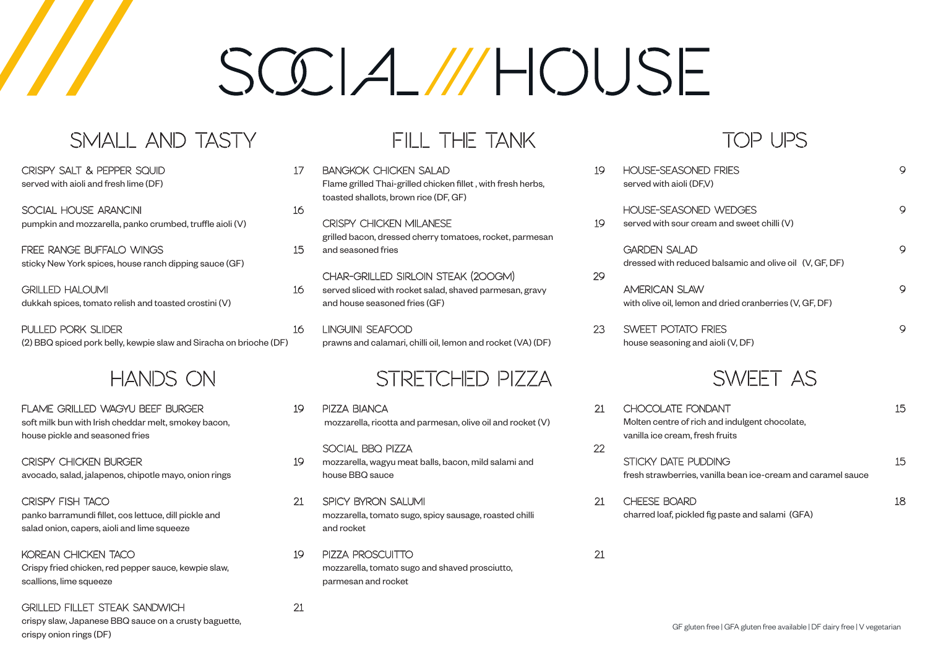CRISPY SALT & PEPPER SQUID 17 served with aioli and fresh lime (DF)

# $SGA$  //HOUSE

### SMALL AND TASTY

SOCIAL HOUSE ARANCINI 16 pumpkin and mozzarella, panko crumbed, truffle aioli (V)

FREE RANGE BUFFALO WINGS 15 sticky New York spices, house ranch dipping sauce (GF)

GRILLED HALOUMI 16 dukkah spices, tomato relish and toasted crostini (V)

PULLED PORK SLIDER 16 (2) BBQ spiced pork belly, kewpie slaw and Siracha on brioche (DF)

FLAME GRILLED WAGYU BEEF BURGER 19 soft milk bun with Irish cheddar melt, smokey bacon, house pickle and seasoned fries

CRISPY CHICKEN BURGER 19 avocado, salad, jalapenos, chipotle mayo, onion rings

KOREAN CHICKEN TACO 19 Crispy fried chicken, red pepper sauce, kewpie slaw, scallions, lime squeeze

#### HANDS ON

BANGKOK CHICKEN SALAD 19 Flame grilled Thai-grilled chicken fillet , with fresh herbs, toasted shallots, brown rice (DF, GF)

CRISPY CHICKEN MILANESE 19 grilled bacon, dressed cherry tomatoes, rocket, parmesan and seasoned fries

CRISPY FISH TACO 21 panko barramundi fillet, cos lettuce, dill pickle and salad onion, capers, aioli and lime squeeze

GRILLED FILLET STEAK SANDWICH 21

crispy slaw, Japanese BBQ sauce on a crusty baguette, crispy onion rings (DF)

#### FILL THE TANK

CHAR-GRILLED SIRLOIN STEAK (200gm) 29 served sliced with rocket salad, shaved parmesan, gravy and house seasoned fries (GF)

LINGUINI SEAFOOD 23 prawns and calamari, chilli oil, lemon and rocket (VA) (DF)

#### STRETCHED PIZZA

- PIZZA BIANCA 21 mozzarella, ricotta and parmesan, olive oil and rocket (V)
- SOCIAL BBQ PIZZA 22 mozzarella, wagyu meat balls, bacon, mild salami and house BBQ sauce
- SPICY BYRON SALUMI 21 mozzarella, tomato sugo, spicy sausage, roasted chilli and rocket
- PIZZA PROSCUITTO 21 mozzarella, tomato sugo and shaved prosciutto, parmesan and rocket

HOUSE-SEASONE served with aioli (DF

> **HOUSE-SEASONE** served with sour cre

> > **GARDEN SALAD** dressed with reduce

AMERICAN SLAW with olive oil, lemon

- SWEET POTATO house seasoning an
- CHOCOLATE FON Molten centre of rich vanilla ice cream, fre

STICKY DATE PUI fresh strawberries, v

CHEESE BOARD



#### TOP UPS

| <b>D FRIES</b><br>V)                                                      | 9  |
|---------------------------------------------------------------------------|----|
| <b>ID WEDGES</b><br>$\mathop{\mathrm{ham}}\nolimits$ and sweet chilli (V) | 9  |
| ed balsamic and olive oil (V, GF, DF)                                     | 9  |
| and dried cranberries (V, GF, DF)                                         | 9  |
| FRIES<br>d aioli (V, DF)                                                  | 9  |
| SWEET AS                                                                  |    |
| <b>JDANT</b><br>h and indulgent chocolate,<br>esh fruits                  | 15 |
| <b>DDING</b><br>anilla bean ice-cream and caramel sauce                   | 15 |
|                                                                           | 18 |

charred loaf, pickled fig paste and salami (GFA)